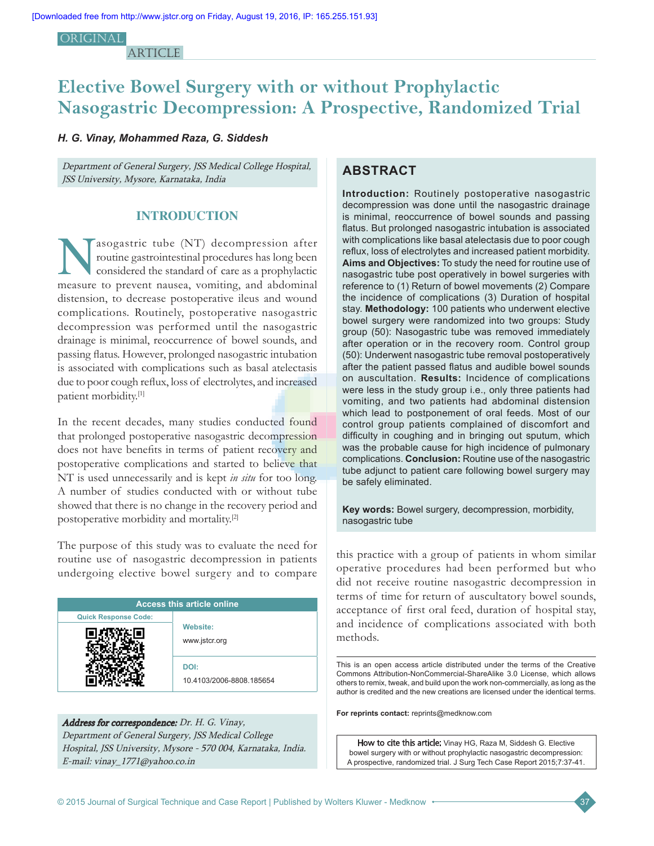### **ORIGINAL**

**ARTICLE** 

# **Elective Bowel Surgery with or without Prophylactic Nasogastric Decompression: A Prospective, Randomized Trial**

# *H. G. Vinay, Mohammed Raza, G. Siddesh*

Department of General Surgery, JSS Medical College Hospital, JSS University, Mysore, Karnataka, India

### **INTRODUCTION**

asogastric tube (NT) decompression after routine gastrointestinal procedures has long been considered the standard of care as a prophylactic measure to prevent nausea, vomiting, and abdominal distension, to decrease postoperative ileus and wound complications. Routinely, postoperative nasogastric decompression was performed until the nasogastric drainage is minimal, reoccurrence of bowel sounds, and passing flatus. However, prolonged nasogastric intubation is associated with complications such as basal atelectasis due to poor cough reflux, loss of electrolytes, and increased patient morbidity.[1]

In the recent decades, many studies conducted found that prolonged postoperative nasogastric decompression does not have benefits in terms of patient recovery and postoperative complications and started to believe that NT is used unnecessarily and is kept *in situ* for too long. A number of studies conducted with or without tube showed that there is no change in the recovery period and postoperative morbidity and mortality.[2]

The purpose of this study was to evaluate the need for routine use of nasogastric decompression in patients undergoing elective bowel surgery and to compare

| <b>Access this article online</b> |                                  |  |
|-----------------------------------|----------------------------------|--|
| <b>Quick Response Code:</b>       |                                  |  |
|                                   | <b>Website:</b><br>www.jstcr.org |  |
|                                   | DOI:<br>10.4103/2006-8808.185654 |  |

# Address for correspondence: Dr. H. G. Vinay, Department of General Surgery, JSS Medical College Hospital, JSS University, Mysore ‑ 570 004, Karnataka, India. E‑mail: vinay\_1771@yahoo.co.in

# **ABSTRACT**

**Introduction:** Routinely postoperative nasogastric decompression was done until the nasogastric drainage is minimal, reoccurrence of bowel sounds and passing flatus. But prolonged nasogastric intubation is associated with complications like basal atelectasis due to poor cough reflux, loss of electrolytes and increased patient morbidity. **Aims and Objectives:** To study the need for routine use of nasogastric tube post operatively in bowel surgeries with reference to (1) Return of bowel movements (2) Compare the incidence of complications (3) Duration of hospital stay. **Methodology:** 100 patients who underwent elective bowel surgery were randomized into two groups: Study group (50): Nasogastric tube was removed immediately after operation or in the recovery room. Control group (50): Underwent nasogastric tube removal postoperatively after the patient passed flatus and audible bowel sounds on auscultation. **Results:** Incidence of complications were less in the study group i.e., only three patients had vomiting, and two patients had abdominal distension which lead to postponement of oral feeds. Most of our control group patients complained of discomfort and difficulty in coughing and in bringing out sputum, which was the probable cause for high incidence of pulmonary complications. **Conclusion:** Routine use of the nasogastric tube adjunct to patient care following bowel surgery may be safely eliminated.

**Key words:** Bowel surgery, decompression, morbidity, nasogastric tube

this practice with a group of patients in whom similar operative procedures had been performed but who did not receive routine nasogastric decompression in terms of time for return of auscultatory bowel sounds, acceptance of first oral feed, duration of hospital stay, and incidence of complications associated with both methods.

This is an open access article distributed under the terms of the Creative Commons Attribution-NonCommercial-ShareAlike 3.0 License, which allows others to remix, tweak, and build upon the work non-commercially, as long as the author is credited and the new creations are licensed under the identical terms.

**For reprints contact:** reprints@medknow.com

How to cite this article: Vinay HG, Raza M, Siddesh G. Elective bowel surgery with or without prophylactic nasogastric decompression: A prospective, randomized trial. J Surg Tech Case Report 2015;7:37-41.

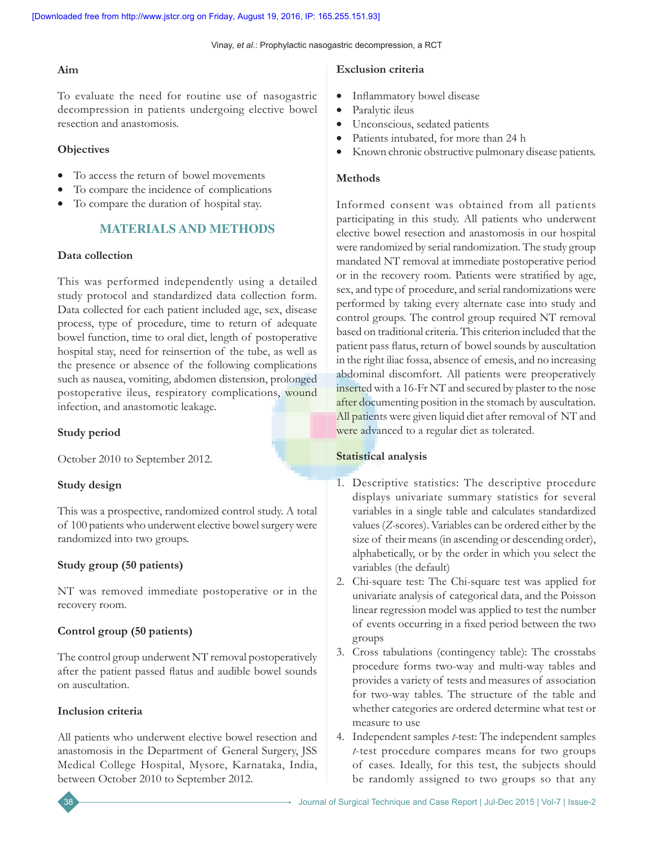Vinay, *et al*.: Prophylactic nasogastric decompression, a RCT

# **Aim**

To evaluate the need for routine use of nasogastric decompression in patients undergoing elective bowel resection and anastomosis.

# **Objectives**

- To access the return of bowel movements
- To compare the incidence of complications
- To compare the duration of hospital stay.

# **MATERIALS AND METHODS**

# **Data collection**

This was performed independently using a detailed study protocol and standardized data collection form. Data collected for each patient included age, sex, disease process, type of procedure, time to return of adequate bowel function, time to oral diet, length of postoperative hospital stay, need for reinsertion of the tube, as well as the presence or absence of the following complications such as nausea, vomiting, abdomen distension, prolonged postoperative ileus, respiratory complications, wound infection, and anastomotic leakage.

# **Study period**

October 2010 to September 2012.

# **Study design**

This was a prospective, randomized control study. A total of 100 patients who underwent elective bowel surgery were randomized into two groups.

# **Study group (50 patients)**

NT was removed immediate postoperative or in the recovery room.

# **Control group (50 patients)**

The control group underwent NT removal postoperatively after the patient passed flatus and audible bowel sounds on auscultation.

# **Inclusion criteria**

All patients who underwent elective bowel resection and anastomosis in the Department of General Surgery, JSS Medical College Hospital, Mysore, Karnataka, India, between October 2010 to September 2012.

# **Exclusion criteria**

- Inflammatory bowel disease
- Paralytic ileus
- Unconscious, sedated patients
- Patients intubated, for more than 24 h
- Known chronic obstructive pulmonary disease patients.

# **Methods**

Informed consent was obtained from all patients participating in this study. All patients who underwent elective bowel resection and anastomosis in our hospital were randomized by serial randomization. The study group mandated NT removal at immediate postoperative period or in the recovery room. Patients were stratified by age, sex, and type of procedure, and serial randomizations were performed by taking every alternate case into study and control groups. The control group required NT removal based on traditional criteria. This criterion included that the patient pass flatus, return of bowel sounds by auscultation in the right iliac fossa, absence of emesis, and no increasing abdominal discomfort. All patients were preoperatively inserted with a 16-Fr NT and secured by plaster to the nose after documenting position in the stomach by auscultation. All patients were given liquid diet after removal of NT and were advanced to a regular diet as tolerated.

# **Statistical analysis**

- 1. Descriptive statistics: The descriptive procedure displays univariate summary statistics for several variables in a single table and calculates standardized values (*Z‑*scores). Variables can be ordered either by the size of their means (in ascending or descending order), alphabetically, or by the order in which you select the variables (the default)
- 2. Chi-square test: The Chi-square test was applied for univariate analysis of categorical data, and the Poisson linear regression model was applied to test the number of events occurring in a fixed period between the two groups
- 3. Cross tabulations (contingency table): The crosstabs procedure forms two-way and multi-way tables and provides a variety of tests and measures of association for two-way tables. The structure of the table and whether categories are ordered determine what test or measure to use
- 4. Independent samples *t*-test: The independent samples *t*-test procedure compares means for two groups of cases. Ideally, for this test, the subjects should be randomly assigned to two groups so that any

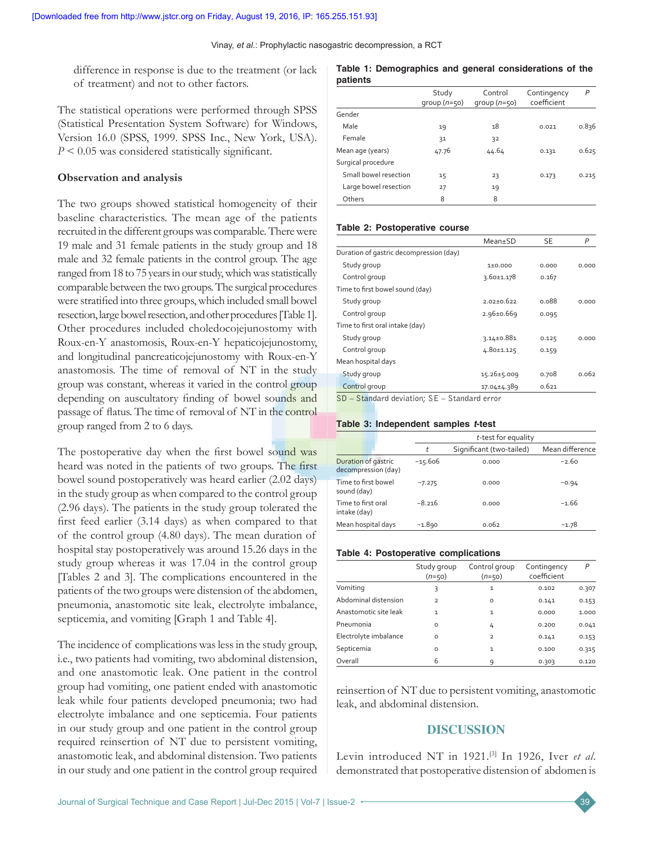difference in response is due to the treatment (or lack of treatment) and not to other factors.

The statistical operations were performed through SPSS (Statistical Presentation System Software) for Windows, Version 16.0 (SPSS, 1999. SPSS Inc., New York, USA). *P* < 0.05 was considered statistically significant.

### **Observation and analysis**

The two groups showed statistical homogeneity of their baseline characteristics. The mean age of the patients recruited in the different groups was comparable. There were 19 male and 31 female patients in the study group and 18 male and 32 female patients in the control group. The age ranged from 18 to 75 years in our study, which was statistically comparable between the two groups. The surgical procedures were stratified into three groups,which included small bowel resection, large bowel resection, and other procedures [Table 1]. Other procedures included choledocojejunostomy with Roux-en-Y anastomosis, Roux-en-Y hepaticojejunostomy, and longitudinal pancreaticojejunostomy with Roux-en-Y anastomosis. The time of removal of NT in the study group was constant, whereas it varied in the control group depending on auscultatory finding of bowel sounds and passage of flatus. The time of removal of NT in the control group ranged from 2 to 6 days.

The postoperative day when the first bowel sound was heard was noted in the patients of two groups. The first bowel sound postoperatively was heard earlier (2.02 days) in the study group as when compared to the control group (2.96 days). The patients in the study group tolerated the first feed earlier (3.14 days) as when compared to that of the control group (4.80 days). The mean duration of hospital stay postoperatively was around 15.26 days in the study group whereas it was 17.04 in the control group [Tables 2 and 3]. The complications encountered in the patients of the two groups were distension of the abdomen, pneumonia, anastomotic site leak, electrolyte imbalance, septicemia, and vomiting [Graph 1 and Table 4].

The incidence of complications was less in the study group, i.e., two patients had vomiting, two abdominal distension, and one anastomotic leak. One patient in the control group had vomiting, one patient ended with anastomotic leak while four patients developed pneumonia; two had electrolyte imbalance and one septicemia. Four patients in our study group and one patient in the control group required reinsertion of NT due to persistent vomiting, anastomotic leak, and abdominal distension. Two patients in our study and one patient in the control group required

#### **Table 1: Demographics and general considerations of the patients**

|                       | Study<br>$qroup (n=50)$ | Control<br>$qroup (n=50)$ | Contingency<br>coefficient | P     |
|-----------------------|-------------------------|---------------------------|----------------------------|-------|
| Gender                |                         |                           |                            |       |
| Male                  | 19                      | 18                        | 0.021                      | 0.836 |
| Female                | 31                      | 32                        |                            |       |
| Mean age (years)      | 47.76                   | 44.64                     | 0.131                      | 0.625 |
| Surgical procedure    |                         |                           |                            |       |
| Small bowel resection | 15                      | 23                        | 0.173                      | 0.215 |
| Large bowel resection | 27                      | 19                        |                            |       |
| Others                | 8                       | 8                         |                            |       |

### **Table 2: Postoperative course**

|                                         | Mean+SD           | <b>SE</b> | P     |
|-----------------------------------------|-------------------|-----------|-------|
| Duration of gastric decompression (day) |                   |           |       |
| Study group                             | 1±0.000           | 0.000     | 0.000 |
| Control group                           | $3.60 \pm 1.178$  | 0.167     |       |
| Time to first bowel sound (day)         |                   |           |       |
| Study group                             | $2.02 + 0.622$    | 0.088     | 0.000 |
| Control group                           | $2.96 \pm 0.669$  | 0.095     |       |
| Time to first oral intake (day)         |                   |           |       |
| Study group                             | $3.14 \pm 0.881$  | 0.125     | 0.000 |
| Control group                           | 4.80±1.125        | 0.159     |       |
| Mean hospital days                      |                   |           |       |
| Study group                             | $15.26 \pm 5.009$ | 0.708     | 0.062 |
| Control group                           | 17.04±4.389       | 0.621     |       |
|                                         |                   |           |       |

SD – Standard deviation; SE – Standard error

### **Table 3: Independent samples** *t***‑test**

|                                            |           | t-test for equality      |                 |  |
|--------------------------------------------|-----------|--------------------------|-----------------|--|
|                                            | t         | Significant (two-tailed) | Mean difference |  |
| Duration of gastric<br>decompression (day) | $-15.606$ | 0.000                    | $-2.60$         |  |
| Time to first bowel<br>sound (day)         | $-7.275$  | 0.000                    | $-0.94$         |  |
| Time to first oral<br>intake (day)         | $-8.216$  | 0.000                    | $-1.66$         |  |
| Mean hospital days                         | $-1.890$  | 0.062                    | $-1.78$         |  |

### **Table 4: Postoperative complications**

|                       | Study group<br>$(n=50)$ | Control group<br>$(n=50)$ | Contingency<br>coefficient | P     |
|-----------------------|-------------------------|---------------------------|----------------------------|-------|
| Vomiting              | 3                       | $\mathbf{1}$              | 0.102                      | 0.307 |
| Abdominal distension  | $\overline{2}$          | $\circ$                   | 0.141                      | 0.153 |
| Anastomotic site leak | $\mathbf{1}$            | $\mathbf{1}$              | 0.000                      | 1.000 |
| Pneumonia             | O                       | 4                         | 0.200                      | 0.041 |
| Electrolyte imbalance | O                       | $\overline{2}$            | 0.141                      | 0.153 |
| Septicemia            | O                       | $\mathbf{1}$              | 0.100                      | 0.315 |
| Overall               | 6                       | 9                         | 0.303                      | 0.120 |

reinsertion of NT due to persistent vomiting, anastomotic leak, and abdominal distension.

# **DISCUSSION**

Levin introduced NT in 1921.[3] In 1926, Iver *et al*. demonstrated that postoperative distension of abdomen is

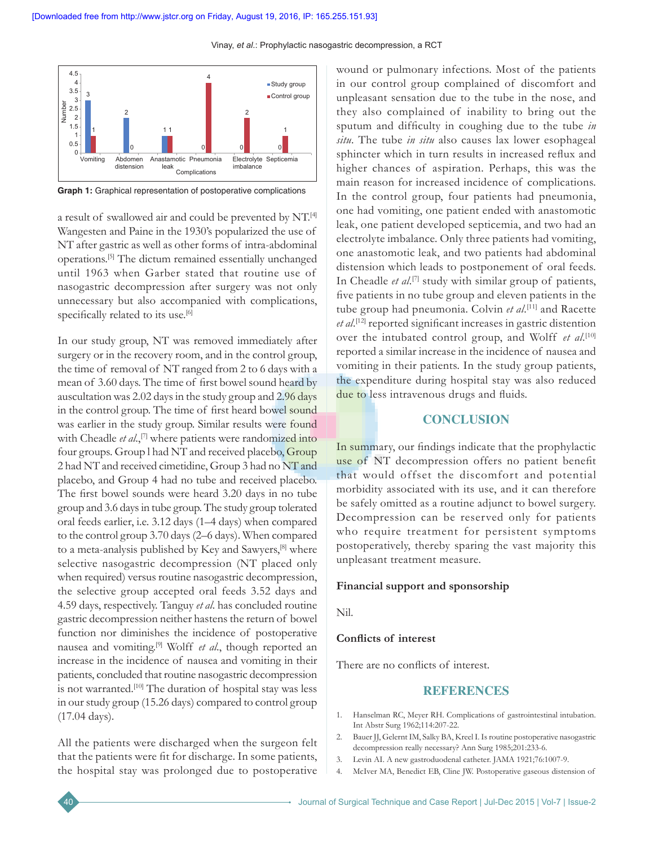

**Graph 1:** Graphical representation of postoperative complications

a result of swallowed air and could be prevented by NT.[4] Wangesten and Paine in the 1930's popularized the use of NT after gastric as well as other forms of intra-abdominal operations.[5] The dictum remained essentially unchanged until 1963 when Garber stated that routine use of nasogastric decompression after surgery was not only unnecessary but also accompanied with complications, specifically related to its use.<sup>[6]</sup>

In our study group, NT was removed immediately after surgery or in the recovery room, and in the control group, the time of removal of NT ranged from 2 to 6 days with a mean of 3.60 days. The time of first bowel sound heard by auscultation was 2.02 days in the study group and 2.96 days in the control group. The time of first heard bowel sound was earlier in the study group. Similar results were found with Cheadle *et al*.,<sup>[7]</sup> where patients were randomized into four groups. Group l had NT and received placebo, Group 2 had NT and received cimetidine, Group 3 had no NT and placebo, and Group 4 had no tube and received placebo. The first bowel sounds were heard 3.20 days in no tube group and 3.6 days in tube group. The study group tolerated oral feeds earlier, i.e. 3.12 days (1–4 days) when compared to the control group 3.70 days (2–6 days). When compared to a meta-analysis published by Key and Sawyers,[8] where selective nasogastric decompression (NT placed only when required) versus routine nasogastric decompression, the selective group accepted oral feeds 3.52 days and 4.59 days, respectively. Tanguy *et al*. has concluded routine gastric decompression neither hastens the return of bowel function nor diminishes the incidence of postoperative nausea and vomiting.[9] Wolff *et al*., though reported an increase in the incidence of nausea and vomiting in their patients, concluded that routine nasogastric decompression is not warranted.<sup>[10]</sup> The duration of hospital stay was less in our study group (15.26 days) compared to control group (17.04 days).

All the patients were discharged when the surgeon felt that the patients were fit for discharge. In some patients, the hospital stay was prolonged due to postoperative

wound or pulmonary infections. Most of the patients in our control group complained of discomfort and unpleasant sensation due to the tube in the nose, and they also complained of inability to bring out the sputum and difficulty in coughing due to the tube *in situ*. The tube *in situ* also causes lax lower esophageal sphincter which in turn results in increased reflux and higher chances of aspiration. Perhaps, this was the main reason for increased incidence of complications. In the control group, four patients had pneumonia, one had vomiting, one patient ended with anastomotic leak, one patient developed septicemia, and two had an electrolyte imbalance. Only three patients had vomiting, one anastomotic leak, and two patients had abdominal distension which leads to postponement of oral feeds. In Cheadle *et al*. [7] study with similar group of patients, five patients in no tube group and eleven patients in the tube group had pneumonia. Colvin *et al*. [11] and Racette *et al*. [12] reported significant increases in gastric distention over the intubated control group, and Wolff *et al*. [10] reported a similar increase in the incidence of nausea and vomiting in their patients. In the study group patients, the expenditure during hospital stay was also reduced due to less intravenous drugs and fluids.

### **CONCLUSION**

In summary, our findings indicate that the prophylactic use of NT decompression offers no patient benefit that would offset the discomfort and potential morbidity associated with its use, and it can therefore be safely omitted as a routine adjunct to bowel surgery. Decompression can be reserved only for patients who require treatment for persistent symptoms postoperatively, thereby sparing the vast majority this unpleasant treatment measure.

### **Financial support and sponsorship**

Nil.

### **Conflicts of interest**

There are no conflicts of interest.

# **REFERENCES**

- 1. Hanselman RC, Meyer RH. Complications of gastrointestinal intubation. Int Abstr Surg 1962;114:207-22.
- 2. Bauer JJ, Gelernt IM, Salky BA, Kreel I. Is routine postoperative nasogastric decompression really necessary? Ann Surg 1985;201:233-6.
- 3. Levin AI. A new gastroduodenal catheter. JAMA 1921;76:1007-9.
- 4. McIver MA, Benedict EB, Cline JW. Postoperative gaseous distension of